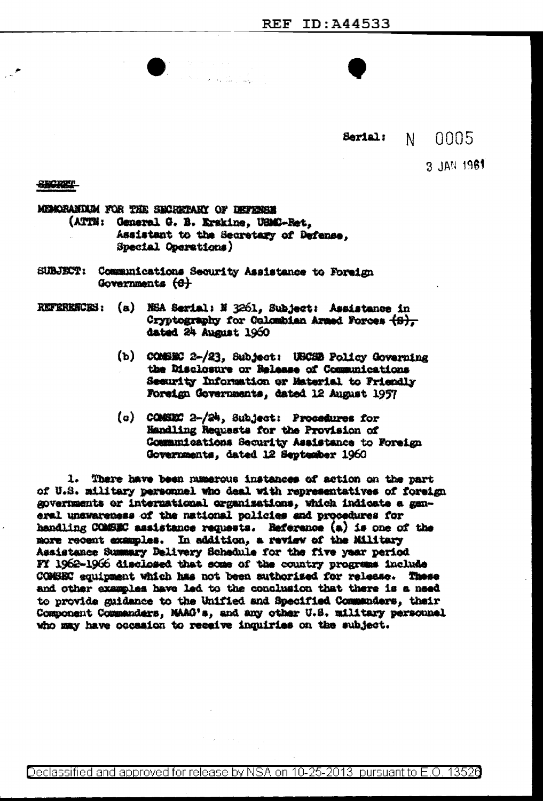#### Serial: N -0005

3 JAN 1961

**SECRET** 

MEMORANTAM FOR THE SECRETARY OF DEFENSE

- (ATTN: General G. B. Krakine, USMC-Ret. Assistant to the Secretary of Defense, Special Operations)
- SUBJECT: Communications Security Assistance to Foreign Governments (<del>G)</del>
- REPERENCES: (a) NSA Serial: N 3261, Subject: Assistance in Cryptography for Colombian Armed Forces  $\{S\}$ . dated 24 August 1960
	- (b) COMBEC 2-/23, Subject: USCSB Policy Governing the Disclosure or Release of Communications Security Information or Material to Priendly Foreign Governments, dated 12 August 1957
	- (c) COMSEC 2-/24, Subject: Procedures for Handling Requests for the Provision of Communications Security Assistance to Foreign Governments, dated 12 September 1960

1. There have been numerous instances of action on the part of U.S. military personnel who deal with representatives of foreign governments or international organizations, which indicate a general unawareness of the national policies and procedures for handling COMSEC assistance requests. Reference (a) is one of the more recent examples. In addition, a review of the Military Assistance Summary Delivery Schedule for the five year period FY 1962-1966 disclosed that some of the country progress include COMSEC equipment which has not been suthorized for release. These and other examples have led to the conclusion that there is a need to provide guidance to the Unified and Specified Communders, their Component Commanders, MAAG's, and any other U.S. military personnel who may have occasion to receive inquiries on the subject.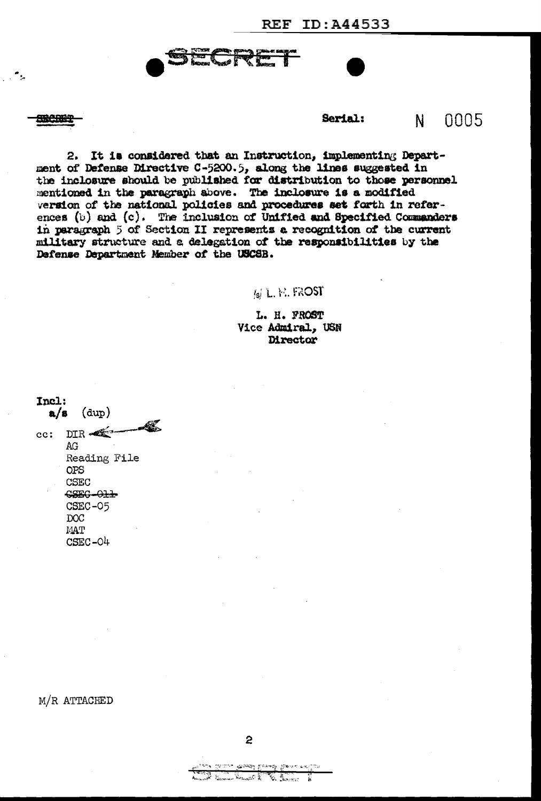我已晚午

 $\ddot{\phantom{a}}_k$  $\mathbb{R}^2$ 

#### Serial:  $0005$  $\mathbf{N}$

2. It is considered that an Instruction, implementing Department of Defense Directive C-5200.5, along the lines suggested in the inclosure should be published for distribution to those personnel mentioned in the paragraph shove. The inclosure is a modified version of the national policies and procedures set forth in references (b) and (c). The inclusion of Unified and Specified Commanders in paragraph 5 of Section II represents a recognition of the current military structure and a delegation of the responsibilities by the Defense Department Member of the USCSB.

# $\mathfrak{f}_\mathsf{sl}$  L. H. FROST

L. H. FROST Vice Admiral, USN Director

Incl:  $a/s$  (dup) Æ. cc: DIR  $AG$ Reading File **OPS CSEC** CSEC-O11 CSEC-05 DOC **MAT**  $CSEC-<sub>0</sub>4$ 

M/R ATTACHED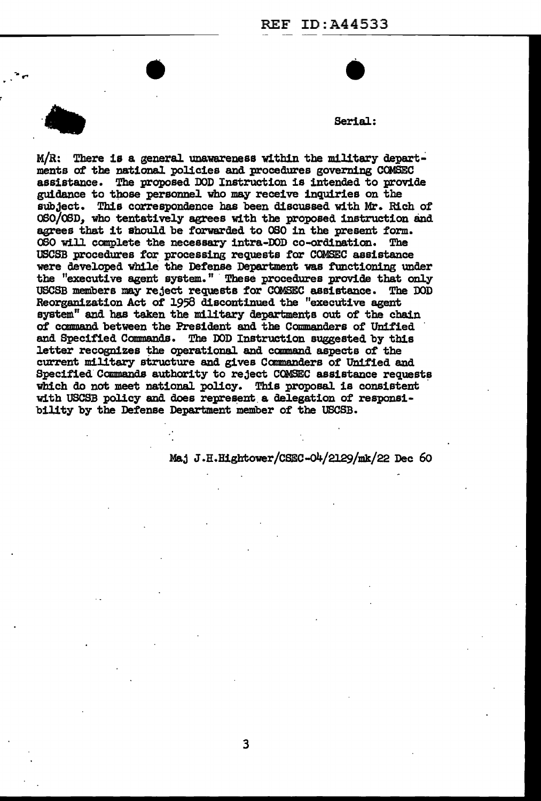

-. ...

# $\bullet$

 $M/R$ : There is a general unawareness within the military departments of the national policies and procedures governing COMSEC assistance. The proposed DOD Instruction is intended to provide guidance to those personnel who may receive inquiries on the subject. This correspondence has been discussed with Mr. Rich *ot*  OSO/OSD, who tentatively agrees with the proposed instruction and agrees that it should be forwarded to OSO in the present form.<br>OSO will complete the necessary intra-DOD co-ordination. The 060 will complete the necessary intra-DOD co-ordination. USCSB procedures for processing requests for COMSEC assistance were developed while the Defense Department was functioning under the "executive agent system." These procedures provide that only USCSB members may reject requests for COMSEC assistance. The DOD Reorganization Act of 1958 discontinued the "executive agent system" and has taken the military departments out of the chain of canmand between the President and the Commanders of Unified and Specified Commands. The DOD Instruction suggested by this letter recognizes the operational and command aspects of the current military structure and gives Commanders of Unified and Specified Commands authority to reject COMSEC assistance requests which do not meet national policy. This proposal is consistent with USCSB policy and does represent a delegation of responsibility by the Defense Department member of the USCSB.

Maj J.H.Hightower/CSEC-04/2129/mk/22 Dec 60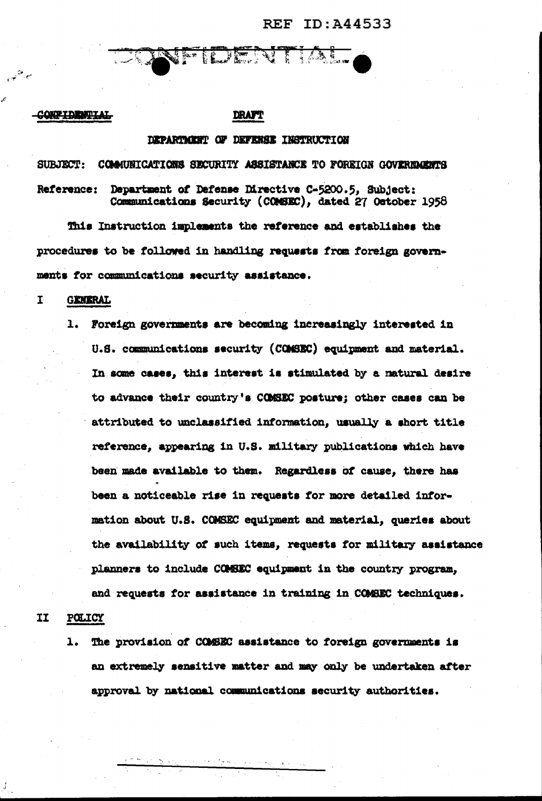**REF ID: A44533** 

## **CONFIDENTIAL**

## DRAFT

IDENTIA

# DEPARTMENT OF DEFENSE INSTRUCTION

SUBJECT: COMMUNICATIONS SECURITY ASSISTANCE TO FOREIGN GOVERNMENTS Reference: Department of Defense Directive C-5200.5, Subject: Communications Security (COMSEC), dated 27 October 1958

This Instruction implements the reference and establishes the procedures to be followed in handling requests from foreign governments for communications security assistance.

#### $\mathbf{I}$ **GENERAL**

1. Foreign governments are becoming increasingly interested in U.S. communications security (COMSEC) equipment and material. In some cases, this interest is stimulated by a natural desire to advance their country's COMSEC posture; other cases can be attributed to unclassified information, usually a short title reference, appearing in U.S. military publications which have been made available to them. Regardless of cause, there has been a noticeable rise in requests for more detailed information about U.S. COMSEC equipment and material, queries about the availability of such items, requests for military assistance planners to include COMEEC equipment in the country program. and requests for assistance in training in COMBEC techniques.

#### **TI POLICY**

The provision of COMEC assistance to foreign governments is  $\mathbf{1}$ . an extremely sensitive matter and may only be undertaken after approval by national communications security authorities.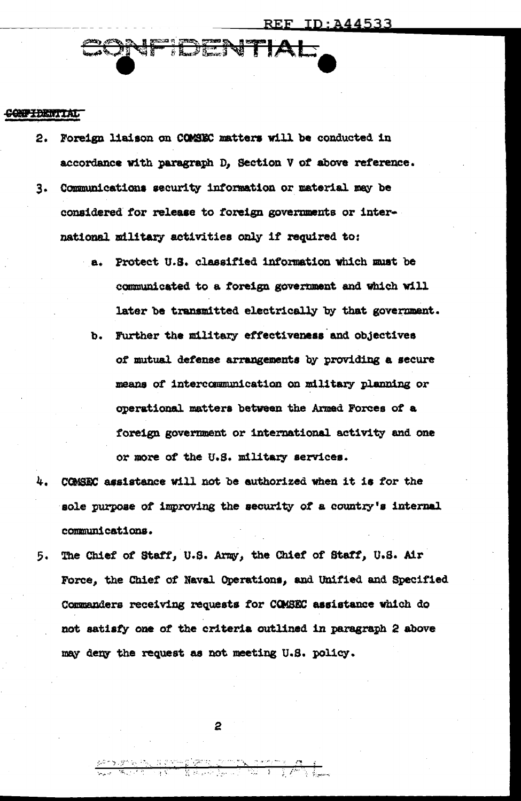CONFIDENTIAL

Foreign liaison on COMSEC matters will be conducted in  $2.$ accordance with paragraph D, Section V of above reference.

**ANFIDENTIAI** 

- 3. Communications security information or material may be considered for release to foreign governments or international military activities only if required to:
	- a. Protect U.S. classified information which must be communicated to a foreign government and which will later be transmitted electrically by that government.
	- b. Further the military effectiveness and objectives of mutual defense arrangements by providing a secure means of intercommunication on military planning or operational matters between the Armed Forces of a foreign government or international activity and one or more of the U.S. military services.
- 4. COMSEC assistance will not be authorized when it is for the sole purpose of improving the security of a country's internal communications.
- 5. The Chief of Staff, U.S. Army, the Chief of Staff, U.S. Air Force, the Chief of Naval Operations, and Unified and Specified Commanders receiving requests for COMSEC assistance which do not satisfy one of the criteria outlined in paragraph 2 above may deny the request as not meeting U.S. policy.

2

<u>aanse komponiste boorstelling</u><br>Sacht kalender (1990 – 1996)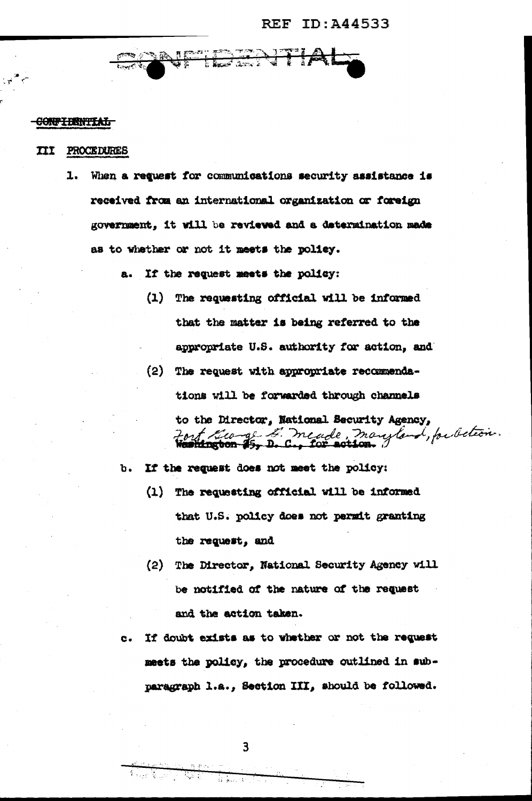# **REF ID: A44533**

I<del>F HAZA TIL</del> ಕ್ಷಣಿಸಿದ್ದಾರೆ. تروية تحقيد

## CONFIDENTIAL

#### **III PROCEDURES**

1. When a request for communications security assistance is received from an international organization or foreign government. it will be reviewed and a determination made as to whether or not it meets the policy.

a. If the request meets the policy:

- (1) The requesting official will be informed that the matter is being referred to the appropriate U.S. authority for action, and
- (2) The request with appropriate recommendations will be forwarded through channels to the Director, National Security Agency, Fort Curge L' meade, maryland, publica.

b. If the request does not meet the policy:

- (1) The requesting official will be informed that U.S. policy does not permit granting the request, and
- (2) The Director, National Security Agency will be notified of the nature of the request and the action taken.
- If doubt exists as to whether or not the request  $\mathbf{c}$ . meets the policy, the procedure outlined in subparagraph 1.a., Section III, should be followed.